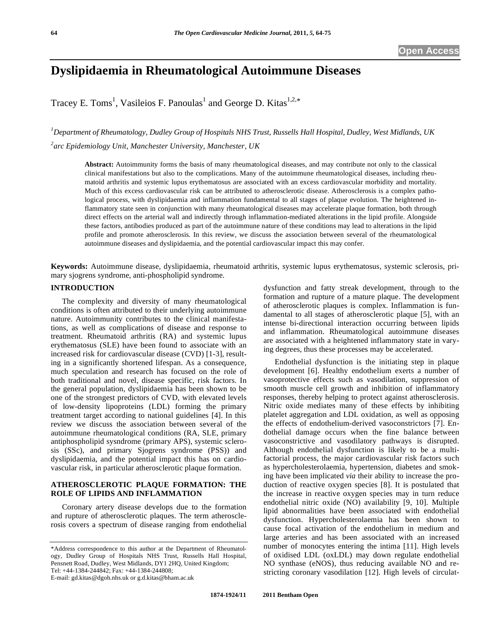# **Dyslipidaemia in Rheumatological Autoimmune Diseases**

Tracey E. Toms<sup>1</sup>, Vasileios F. Panoulas<sup>1</sup> and George D. Kitas<sup>1,2,\*</sup>

*1 Department of Rheumatology, Dudley Group of Hospitals NHS Trust, Russells Hall Hospital, Dudley, West Midlands, UK 2 arc Epidemiology Unit, Manchester University, Manchester, UK* 

**Abstract:** Autoimmunity forms the basis of many rheumatological diseases, and may contribute not only to the classical clinical manifestations but also to the complications. Many of the autoimmune rheumatological diseases, including rheumatoid arthritis and systemic lupus erythematosus are associated with an excess cardiovascular morbidity and mortality. Much of this excess cardiovascular risk can be attributed to atherosclerotic disease. Atherosclerosis is a complex pathological process, with dyslipidaemia and inflammation fundamental to all stages of plaque evolution. The heightened inflammatory state seen in conjunction with many rheumatological diseases may accelerate plaque formation, both through direct effects on the arterial wall and indirectly through inflammation-mediated alterations in the lipid profile. Alongside these factors, antibodies produced as part of the autoimmune nature of these conditions may lead to alterations in the lipid profile and promote atherosclerosis. In this review, we discuss the association between several of the rheumatological autoimmune diseases and dyslipidaemia, and the potential cardiovascular impact this may confer.

**Keywords:** Autoimmune disease, dyslipidaemia, rheumatoid arthritis, systemic lupus erythematosus, systemic sclerosis, primary sjogrens syndrome, anti-phospholipid syndrome.

#### **INTRODUCTION**

 The complexity and diversity of many rheumatological conditions is often attributed to their underlying autoimmune nature. Autoimmunity contributes to the clinical manifestations, as well as complications of disease and response to treatment. Rheumatoid arthritis (RA) and systemic lupus erythematosus (SLE) have been found to associate with an increased risk for cardiovascular disease (CVD) [1-3], resulting in a significantly shortened lifespan. As a consequence, much speculation and research has focused on the role of both traditional and novel, disease specific, risk factors. In the general population, dyslipidaemia has been shown to be one of the strongest predictors of CVD, with elevated levels of low-density lipoproteins (LDL) forming the primary treatment target according to national guidelines [4]. In this review we discuss the association between several of the autoimmune rheumatological conditions (RA, SLE, primary antiphospholipid sysndrome (primary APS), systemic sclerosis (SSc), and primary Sjogrens syndrome (PSS)) and dyslipidaemia, and the potential impact this has on cardiovascular risk, in particular atherosclerotic plaque formation.

### **ATHEROSCLEROTIC PLAQUE FORMATION: THE ROLE OF LIPIDS AND INFLAMMATION**

 Coronary artery disease develops due to the formation and rupture of atherosclerotic plaques. The term atherosclerosis covers a spectrum of disease ranging from endothelial

E-mail: gd.kitas@dgoh.nhs.uk or g.d.kitas@bham.ac.uk

dysfunction and fatty streak development, through to the formation and rupture of a mature plaque. The development of atherosclerotic plaques is complex. Inflammation is fundamental to all stages of atherosclerotic plaque [5], with an intense bi-directional interaction occurring between lipids and inflammation. Rheumatological autoimmune diseases are associated with a heightened inflammatory state in varying degrees, thus these processes may be accelerated.

Endothelial dysfunction is the initiating step in plaque development [6]. Healthy endothelium exerts a number of vasoprotective effects such as vasodilation, suppression of smooth muscle cell growth and inhibition of inflammatory responses, thereby helping to protect against atherosclerosis. Nitric oxide mediates many of these effects by inhibiting platelet aggregation and LDL oxidation, as well as opposing the effects of endothelium-derived vasoconstrictors [7]. Endothelial damage occurs when the fine balance between vasoconstrictive and vasodilatory pathways is disrupted. Although endothelial dysfunction is likely to be a multifactorial process, the major cardiovascular risk factors such as hypercholesterolaemia, hypertension, diabetes and smoking have been implicated *via* their ability to increase the production of reactive oxygen species [8]. It is postulated that the increase in reactive oxygen species may in turn reduce endothelial nitric oxide (NO) availability [9, 10]. Multiple lipid abnormalities have been associated with endothelial dysfunction. Hypercholesterolaemia has been shown to cause focal activation of the endothelium in medium and large arteries and has been associated with an increased number of monocytes entering the intima [11]. High levels of oxidised LDL (oxLDL) may down regulate endothelial NO synthase (eNOS), thus reducing available NO and restricting coronary vasodilation [12]. High levels of circulat-

<sup>\*</sup>Address correspondence to this author at the Department of Rheumatology, Dudley Group of Hospitals NHS Trust, Russells Hall Hospital, Pensnett Road, Dudley, West Midlands, DY1 2HQ, United Kingdom; Tel: +44-1384-244842; Fax: +44-1384-244808;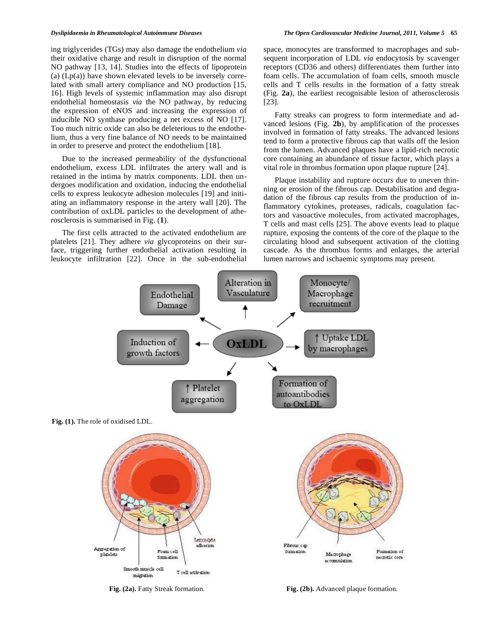ing triglycerides (TGs) may also damage the endothelium *via*  their oxidative charge and result in disruption of the normal NO pathway [13, 14]. Studies into the effects of lipoprotein (a)  $(Lp(a))$  have shown elevated levels to be inversely correlated with small artery compliance and NO production [15, 16]. High levels of systemic inflammation may also disrupt endothelial homeostasis *via* the NO pathway, by reducing the expression of eNOS and increasing the expression of inducible NO synthase producing a net excess of NO [17]. Too much nitric oxide can also be deleterious to the endothelium, thus a very fine balance of NO needs to be maintained in order to preserve and protect the endothelium [18].

 Due to the increased permeability of the dysfunctional endothelium, excess LDL infiltrates the artery wall and is retained in the intima by matrix components. LDL then undergoes modification and oxidation, inducing the endothelial cells to express leukocyte adhesion molecules [19] and initiating an inflammatory response in the artery wall [20]. The contribution of oxLDL particles to the development of atherosclerosis is summarised in Fig. (**1**).

 The first cells attracted to the activated endothelium are platelets [21]. They adhere *via* glycoproteins on their surface, triggering further endothelial activation resulting in leukocyte infiltration [22]. Once in the sub-endothelial space, monocytes are transformed to macrophages and subsequent incorporation of LDL *via* endocytosis by scavenger receptors (CD36 and others) differentiates them further into foam cells. The accumulation of foam cells, smooth muscle cells and T cells results in the formation of a fatty streak (Fig. **2a**), the earliest recognisable lesion of atherosclerosis [23].

 Fatty streaks can progress to form intermediate and advanced lesions (Fig. **2b**), by amplification of the processes involved in formation of fatty streaks. The advanced lesions tend to form a protective fibrous cap that walls off the lesion from the lumen. Advanced plaques have a lipid-rich necrotic core containing an abundance of tissue factor, which plays a vital role in thrombus formation upon plaque rupture [24].

 Plaque instability and rupture occurs due to uneven thinning or erosion of the fibrous cap. Destabilisation and degradation of the fibrous cap results from the production of inflammatory cytokines, proteases, radicals, coagulation factors and vasoactive molecules, from activated macrophages, T cells and mast cells [25]. The above events lead to plaque rupture, exposing the contents of the core of the plaque to the circulating blood and subsequent activation of the clotting cascade. As the thrombus forms and enlarges, the arterial lumen narrows and ischaemic symptoms may present.



**Fig. (2a).** Factiv Streak formation. **Fig. (2b).** Advanced plaque formation.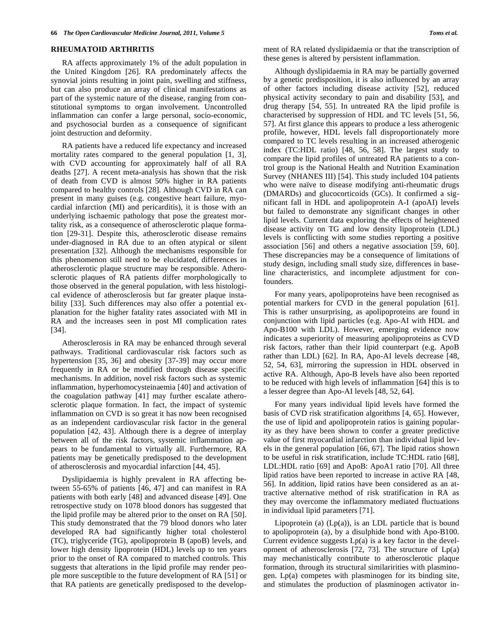#### **RHEUMATOID ARTHRITIS**

RA affects approximately 1% of the adult population in the United Kingdom [26]. RA predominately affects the synovial joints resulting in joint pain, swelling and stiffness, but can also produce an array of clinical manifestations as part of the systemic nature of the disease, ranging from constitutional symptoms to organ involvement. Uncontrolled inflammation can confer a large personal, socio-economic, and psychosocial burden as a consequence of significant joint destruction and deformity.

 RA patients have a reduced life expectancy and increased mortality rates compared to the general population [1, 3], with CVD accounting for approximately half of all RA deaths [27]. A recent meta-analysis has shown that the risk of death from CVD is almost 50% higher in RA patients compared to healthy controls [28]. Although CVD in RA can present in many guises (e.g. congestive heart failure, myocardial infarction (MI) and pericarditis), it is those with an underlying ischaemic pathology that pose the greatest mortality risk, as a consequence of atherosclerotic plaque formation [29-31]. Despite this, atherosclerotic disease remains under-diagnosed in RA due to an often atypical or silent presentation [32]. Although the mechanisms responsible for this phenomenon still need to be elucidated, differences in atherosclerotic plaque structure may be responsible. Atherosclerotic plaques of RA patients differ morphologically to those observed in the general population, with less histological evidence of atherosclerosis but far greater plaque instability [33]. Such differences may also offer a potential explanation for the higher fatality rates associated with MI in RA and the increases seen in post MI complication rates [34].

 Atherosclerosis in RA may be enhanced through several pathways. Traditional cardiovascular risk factors such as hypertension [35, 36] and obesity [37-39] may occur more frequently in RA or be modified through disease specific mechanisms. In addition, novel risk factors such as systemic inflammation, hyperhomocysteinaemia [40] and activation of the coagulation pathway [41] may further escalate atherosclerotic plaque formation. In fact, the impact of systemic inflammation on CVD is so great it has now been recognised as an independent cardiovascular risk factor in the general population [42, 43]. Although there is a degree of interplay between all of the risk factors, systemic inflammation appears to be fundamental to virtually all. Furthermore, RA patients may be genetically predisposed to the development of atherosclerosis and myocardial infarction [44, 45].

 Dyslipidaemia is highly prevalent in RA affecting between 55-65% of patients [46, 47] and can manifest in RA patients with both early [48] and advanced disease [49]. One retrospective study on 1078 blood donors has suggested that the lipid profile may be altered prior to the onset on RA [50]. This study demonstrated that the 79 blood donors who later developed RA had significantly higher total cholesterol (TC), triglyceride (TG), apolipoprotein B (apoB) levels, and lower high density lipoprotein (HDL) levels up to ten years prior to the onset of RA compared to matched controls. This suggests that alterations in the lipid profile may render people more susceptible to the future development of RA [51] or that RA patients are genetically predisposed to the development of RA related dyslipidaemia or that the transcription of these genes is altered by persistent inflammation.

 Although dyslipidaemia in RA may be partially governed by a genetic predisposition, it is also influenced by an array of other factors including disease activity [52], reduced physical activity secondary to pain and disability [53], and drug therapy [54, 55]. In untreated RA the lipid profile is characterised by suppression of HDL and TC levels [51, 56, 57]. At first glance this appears to produce a less atherogenic profile, however, HDL levels fall disproportionately more compared to TC levels resulting in an increased atherogenic index (TC:HDL ratio) [48, 56, 58]. The largest study to compare the lipid profiles of untreated RA patients to a control group is the National Health and Nutrition Examination Survey (NHANES III) [54]. This study included 104 patients who were naïve to disease modifying anti-rheumatic drugs (DMARDs) and glucocorticoids (GCs). It confirmed a significant fall in HDL and apolipoprotein A-I (apoAI) levels but failed to demonstrate any significant changes in other lipid levels. Current data exploring the effects of heightened disease activity on TG and low density lipoprotein (LDL) levels is conflicting with some studies reporting a positive association [56] and others a negative association [59, 60]. These discrepancies may be a consequence of limitations of study design, including small study size, differences in baseline characteristics, and incomplete adjustment for confounders.

 For many years, apolipoproteins have been recognised as potential markers for CVD in the general population [61]. This is rather unsurprising, as apolipoproteins are found in conjunction with lipid particles (e.g. Apo-AI with HDL and Apo-B100 with LDL). However, emerging evidence now indicates a superiority of measuring apolipoproteins as CVD risk factors, rather than their lipid counterpart (e.g. ApoB rather than LDL) [62]. In RA, Apo-AI levels decrease [48, 52, 54, 63], mirroring the supression in HDL observed in active RA. Although, Apo-B levels have also been reported to be reduced with high levels of inflammation [64] this is to a lesser degree than Apo-AI levels [48, 52, 64].

 For many years individual lipid levels have formed the basis of CVD risk stratification algorithms [4, 65]. However, the use of lipid and apolipoprotein ratios is gaining popularity as they have been shown to confer a greater predictive value of first myocardial infarction than individual lipid levels in the general population [66, 67]. The lipid ratios shown to be useful in risk stratification, include TC:HDL ratio [68], LDL:HDL ratio [69] and ApoB: ApoA1 ratio [70]. All three lipid ratios have been reported to increase in active RA [48, 56]. In addition, lipid ratios have been considered as an attractive alternative method of risk stratification in RA as they may overcome the inflammatory mediated fluctuations in individual lipid parameters [71].

Lipoprotein (a)  $(Lp(a))$ , is an LDL particle that is bound to apolipoprotein (a), by a disulphide bond with Apo-B100. Current evidence suggests  $Lp(a)$  is a key factor in the development of atherosclerosis  $[72, 73]$ . The structure of  $Lp(a)$ may mechanistically contribute to atherosclerotic plaque formation, through its structural similaririties with plasminogen. Lp(a) competes with plasminogen for its binding site, and stimulates the production of plasminogen activator in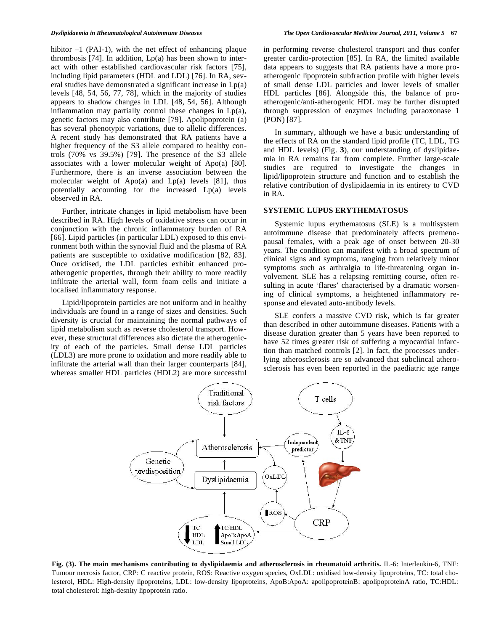hibitor  $-1$  (PAI-1), with the net effect of enhancing plaque thrombosis [74]. In addition,  $Lp(a)$  has been shown to interact with other established cardiovascular risk factors [75], including lipid parameters (HDL and LDL) [76]. In RA, several studies have demonstrated a significant increase in Lp(a) levels [48, 54, 56, 77, 78], which in the majority of studies appears to shadow changes in LDL [48, 54, 56]. Although inflammation may partially control these changes in Lp(a), genetic factors may also contribute [79]. Apolipoprotein (a) has several phenotypic variations, due to allelic differences. A recent study has demonstrated that RA patients have a higher frequency of the S3 allele compared to healthy controls (70% vs 39.5%) [79]. The presence of the S3 allele associates with a lower molecular weight of Apo(a) [80]. Furthermore, there is an inverse association between the molecular weight of Apo(a) and  $Lp(a)$  levels [81], thus potentially accounting for the increased Lp(a) levels observed in RA.

 Further, intricate changes in lipid metabolism have been described in RA. High levels of oxidative stress can occur in conjunction with the chronic inflammatory burden of RA [66]. Lipid particles (in particular LDL) exposed to this environment both within the synovial fluid and the plasma of RA patients are susceptible to oxidative modification [82, 83]. Once oxidised, the LDL particles exhibit enhanced proatherogenic properties, through their ability to more readily infiltrate the arterial wall, form foam cells and initiate a localised inflammatory response.

 Lipid/lipoprotein particles are not uniform and in healthy individuals are found in a range of sizes and densities. Such diversity is crucial for maintaining the normal pathways of lipid metabolism such as reverse cholesterol transport. However, these structural differences also dictate the atherogenicity of each of the particles. Small dense LDL particles (LDL3) are more prone to oxidation and more readily able to infiltrate the arterial wall than their larger counterparts [84], whereas smaller HDL particles (HDL2) are more successful in performing reverse cholesterol transport and thus confer greater cardio-protection [85]. In RA, the limited available data appears to suggests that RA patients have a more proatherogenic lipoprotein subfraction profile with higher levels of small dense LDL particles and lower levels of smaller HDL particles [86]. Alongside this, the balance of proatherogenic/anti-atherogenic HDL may be further disrupted through suppression of enzymes including paraoxonase 1 (PON) [87].

 In summary, although we have a basic understanding of the effects of RA on the standard lipid profile (TC, LDL, TG and HDL levels) (Fig. **3**), our understanding of dyslipidaemia in RA remains far from complete. Further large-scale studies are required to investigate the changes in lipid/lipoprotein structure and function and to establish the relative contribution of dyslipidaemia in its entirety to CVD in RA.

#### **SYSTEMIC LUPUS ERYTHEMATOSUS**

 Systemic lupus erythematosus (SLE) is a multisystem autoimmune disease that predominately affects premenopausal females, with a peak age of onset between 20-30 years. The condition can manifest with a broad spectrum of clinical signs and symptoms, ranging from relatively minor symptoms such as arthralgia to life-threatening organ involvement. SLE has a relapsing remitting course, often resulting in acute 'flares' characterised by a dramatic worsening of clinical symptoms, a heightened inflammatory response and elevated auto-antibody levels.

 SLE confers a massive CVD risk, which is far greater than described in other autoimmune diseases. Patients with a disease duration greater than 5 years have been reported to have 52 times greater risk of suffering a myocardial infarction than matched controls [2]. In fact, the processes underlying atherosclerosis are so advanced that subclincal atherosclerosis has even been reported in the paediatric age range



**Fig. (3). The main mechanisms contributing to dyslipidaemia and atherosclerosis in rheumatoid arthritis.** IL-6: Interleukin-6, TNF: Tumour necrosis factor, CRP: C reactive protein, ROS: Reactive oxygen species, OxLDL: oxidised low-density lipoproteins, TC: total cholesterol, HDL: High-density lipoproteins, LDL: low-density lipoproteins, ApoB:ApoA: apolipoproteinB: apolipoproteinA ratio, TC:HDL: total cholesterol: high-desnity lipoprotein ratio.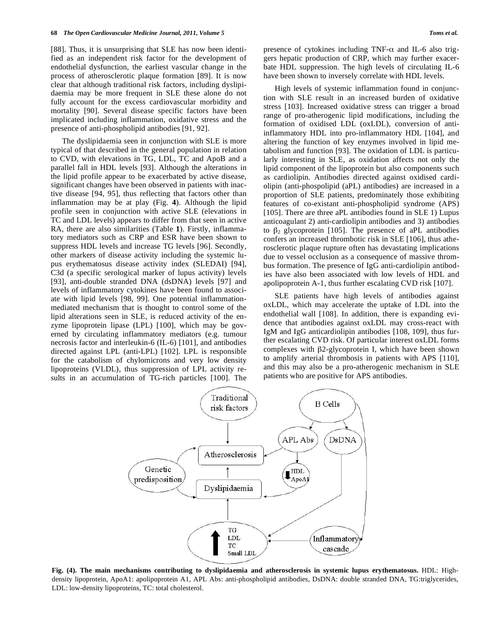[88]. Thus, it is unsurprising that SLE has now been identified as an independent risk factor for the development of endothelial dysfunction, the earliest vascular change in the process of atherosclerotic plaque formation [89]. It is now clear that although traditional risk factors, including dyslipidaemia may be more frequent in SLE these alone do not fully account for the excess cardiovascular morbidity and mortality [90]. Several disease specific factors have been implicated including inflammation, oxidative stress and the presence of anti-phospholipid antibodies [91, 92].

 The dyslipidaemia seen in conjunction with SLE is more typical of that described in the general population in relation to CVD, with elevations in TG, LDL, TC and ApoB and a parallel fall in HDL levels [93]. Although the alterations in the lipid profile appear to be exacerbated by active disease, significant changes have been observed in patients with inactive disease [94, 95], thus reflecting that factors other than inflammation may be at play (Fig. **4**). Although the lipid profile seen in conjunction with active SLE (elevations in TC and LDL levels) appears to differ from that seen in active RA, there are also similarities (Table **1**). Firstly, inflammatory mediators such as CRP and ESR have been shown to suppress HDL levels and increase TG levels [96]. Secondly, other markers of disease activity including the systemic lupus erythematosus disease activity index (SLEDAI) [94], C3d (a specific serological marker of lupus activity) levels [93], anti-double stranded DNA (dsDNA) levels [97] and levels of inflammatory cytokines have been found to associate with lipid levels [98, 99]. One potential inflammationmediated mechanism that is thought to control some of the lipid alterations seen in SLE, is reduced activity of the enzyme lipoprotein lipase (LPL) [100], which may be governed by circulating inflammatory mediators (e.g. tumour necrosis factor and interleukin-6 (IL-6) [101], and antibodies directed against LPL (anti-LPL) [102]. LPL is responsible for the catabolism of chylomicrons and very low density lipoproteins (VLDL), thus suppression of LPL activity results in an accumulation of TG-rich particles [100]. The presence of cytokines including TNF- $\alpha$  and IL-6 also triggers hepatic production of CRP, which may further exacerbate HDL suppression. The high levels of circulating IL-6 have been shown to inversely correlate with HDL levels.

 High levels of systemic inflammation found in conjunction with SLE result in an increased burden of oxidative stress [103]. Increased oxidative stress can trigger a broad range of pro-atherogenic lipid modifications, including the formation of oxidised LDL (oxLDL), conversion of antiinflammatory HDL into pro-inflammatory HDL [104], and altering the function of key enzymes involved in lipid metabolism and function [93]. The oxidation of LDL is particularly interesting in SLE, as oxidation affects not only the lipid component of the lipoprotein but also components such as cardiolipin. Antibodies directed against oxidised cardiolipin (anti-phospolipid (aPL) antibodies) are increased in a proportion of SLE patients, predominately those exhibiting features of co-existant anti-phospholipid syndrome (APS) [105]. There are three aPL antibodies found in SLE 1) Lupus anticoagulant 2) anti-cardiolipin antibodies and 3) antibodies to  $\beta_2$  glycoprotein [105]. The presence of aPL antibodies confers an increased thrombotic risk in SLE [106], thus atherosclerotic plaque rupture often has devastating implications due to vessel occlusion as a consequence of massive thrombus formation. The presence of IgG anti-cardiolipin antibodies have also been associated with low levels of HDL and apolipoprotein A-1, thus further escalating CVD risk [107].

 SLE patients have high levels of antibodies against oxLDL, which may accelerate the uptake of LDL into the endothelial wall [108]. In addition, there is expanding evidence that antibodies against oxLDL may cross-react with IgM and IgG anticardiolipin antibodies [108, 109], thus further escalating CVD risk. Of particular interest oxLDL forms complexes with  $\beta$ 2-glycoprotein I, which have been shown to amplify arterial thrombosis in patients with APS [110], and this may also be a pro-atherogenic mechanism in SLE patients who are positive for APS antibodies.



**Fig. (4). The main mechanisms contributing to dyslipidaemia and atherosclerosis in systemic lupus erythematosus.** HDL: Highdensity lipoprotein, ApoA1: apolipoprotein A1, APL Abs: anti-phospholipid antibodies, DsDNA: double stranded DNA, TG:triglycerides, LDL: low-density lipoproteins, TC: total cholesterol.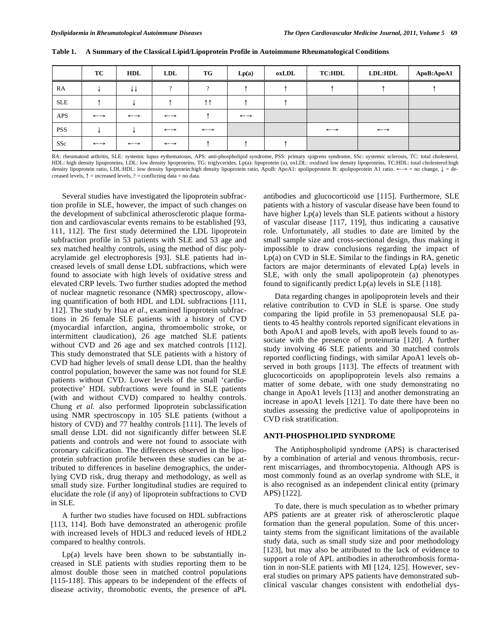|            | TC                    | HDL                   | LDL                   | <b>TG</b>             | Lp(a)                 | oxLDL | <b>TC:HDL</b>         | LDL:HDL               | ApoB:ApoA1 |
|------------|-----------------------|-----------------------|-----------------------|-----------------------|-----------------------|-------|-----------------------|-----------------------|------------|
| RA         |                       | ا∨ √                  | $\Omega$              | $\Omega$              |                       |       |                       |                       |            |
| <b>SLE</b> |                       |                       |                       | ተ ተ                   |                       |       |                       |                       |            |
| APS        | $\longleftrightarrow$ | $\longleftrightarrow$ | $\longleftrightarrow$ |                       | $\longleftrightarrow$ |       |                       |                       |            |
| <b>PSS</b> |                       |                       | $\longleftrightarrow$ | $\longleftrightarrow$ |                       |       | $\longleftrightarrow$ | $\longleftrightarrow$ |            |
| SSc        | $\longleftrightarrow$ | $\longleftrightarrow$ | $\longleftrightarrow$ |                       |                       |       |                       |                       |            |

**Table 1. A Summary of the Classical Lipid/Lipoprotein Profile in Autoimmune Rheumatological Conditions** 

RA: rheumatoid arthritis, SLE: systemic lupus eythematosus, APS: anti-phospholipid syndrome, PSS: primary sjogrens syndrome, SSc: systemic sclerosis, TC: total cholesterol, HDL: high density lipoproteins, LDL: low density lipoproteins, TG: triglycerides, Lp(a): lipoprotein (a), oxLDL: oxidised low density lipoproteins, TC:HDL: total cholesterol:high density lipoprotein ratio, LDL:HDL: low density lipoprotein:high density lipoprotein ratio, ApoB: ApoA1: apolipoprotein B: apolipoprotein A1 ratio. ←→ = no change, ↓ = decreased levels,  $\uparrow$  = increased levels, ? = conflicting data = no data.

 Several studies have investigated the lipoprotein subfraction profile in SLE, however, the impact of such changes on the development of subclinical atherosclerotic plaque formation and cardiovascular events remains to be established [93, 111, 112]. The first study determined the LDL lipoprotein subfraction profile in 53 patients with SLE and 53 age and sex matched healthy controls, using the method of disc polyacrylamide gel electrophoresis [93]. SLE patients had increased levels of small dense LDL subfractions, which were found to associate with high levels of oxidative stress and elevated CRP levels. Two further studies adopted the method of nuclear magnetic resonance (NMR) spectroscopy, allowing quantification of both HDL and LDL subfractions [111, 112]. The study by Hua *et al*., examined lipoprotein subfractions in 26 female SLE patients with a history of CVD (myocardial infarction, angina, thromoembolic stroke, or intermittent claudication), 26 age matched SLE patients without CVD and 26 age and sex matched controls [112]. This study demonstrated that SLE patients with a history of CVD had higher levels of small dense LDL than the healthy control population, however the same was not found for SLE patients without CVD. Lower levels of the small 'cardioprotective' HDL subfractions were found in SLE patients (with and without CVD) compared to healthy controls. Chung *et al.* also performed lipoprotein subclassification using NMR spectroscopy in 105 SLE patients (without a history of CVD) and 77 healthy controls [111]. The levels of small dense LDL did not significantly differ between SLE patients and controls and were not found to associate with coronary calcification. The differences observed in the lipoprotein subfraction profile between these studies can be attributed to differences in baseline demographics, the underlying CVD risk, drug therapy and methodology, as well as small study size. Further longitudinal studies are required to elucidate the role (if any) of lipoprotein subfractions to CVD in SLE.

 A further two studies have focused on HDL subfractions [113, 114]. Both have demonstrated an atherogenic profile with increased levels of HDL3 and reduced levels of HDL2 compared to healthy controls.

Lp(a) levels have been shown to be substantially increased in SLE patients with studies reporting them to be almost double those seen in matched control populations [115-118]. This appears to be independent of the effects of disease activity, thromobotic events, the presence of aPL antibodies and glucocorticoid use [115]. Furthermore, SLE patients with a history of vascular disease have been found to have higher Lp(a) levels than SLE patients without a history of vascular disease [117, 119], thus indicating a causative role. Unfortunately, all studies to date are limited by the small sample size and cross-sectional design, thus making it impossible to draw conclusions regarding the impact of Lp(a) on CVD in SLE. Similar to the findings in RA, genetic factors are major determinants of elevated Lp(a) levels in SLE, with only the small apolipoprotein (a) phenotypes found to significantly predict  $Lp(a)$  levels in SLE [118].

 Data regarding changes in apolipoprotein levels and their relative contribution to CVD in SLE is sparse. One study comparing the lipid profile in 53 premenopausal SLE patients to 45 healthy controls reported significant elevations in both ApoA1 and apoB levels, with apoB levels found to associate with the presence of proteinuria [120]. A further study involving 46 SLE patients and 30 matched controls reported conflicting findings, with similar ApoA1 levels observed in both groups [113]. The effects of treatment with glucocorticoids on apoplipoprotein levels also remains a matter of some debate, with one study demonstrating no change in ApoA1 levels [113] and another demonstrating an increase in apoA1 levels [121]. To date there have been no studies assessing the predictive value of apolipoproteins in CVD risk stratification.

#### **ANTI-PHOSPHOLIPID SYNDROME**

The Antiphospholipid syndrome (APS) is characterised by a combination of arterial and venous thrombosis, recurrent miscarriages, and thrombocytopenia. Although APS is most commonly found as an overlap syndrome with SLE, it is also recognised as an independent clinical entity (primary APS) [122].

 To date, there is much speculation as to whether primary APS patients are at greater risk of atherosclerotic plaque formation than the general population. Some of this uncertainty stems from the significant limitations of the available study data, such as small study size and poor methodology [123], but may also be attributed to the lack of evidence to support a role of APL antibodies in atherothrombosis formation in non-SLE patients with MI [124, 125]. However, several studies on primary APS patients have demonstrated subclinical vascular changes consistent with endothelial dys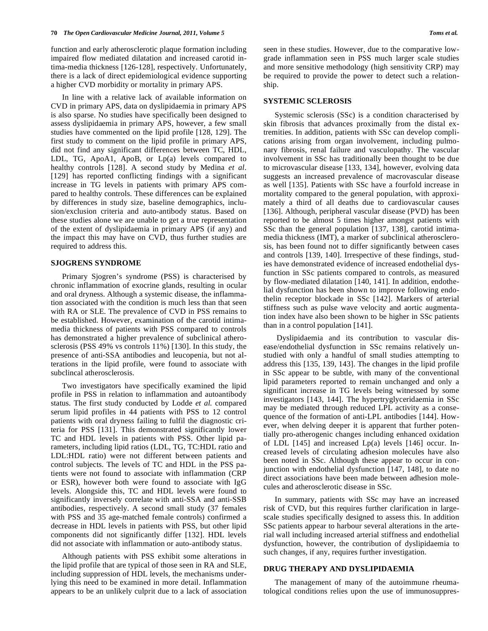function and early atherosclerotic plaque formation including impaired flow mediated dilatation and increased carotid intima-media thickness [126-128], respectively. Unfortunately, there is a lack of direct epidemiological evidence supporting a higher CVD morbidity or mortality in primary APS.

 In line with a relative lack of available information on CVD in primary APS, data on dyslipidaemia in primary APS is also sparse. No studies have specifically been designed to assess dyslipidaemia in primary APS, however, a few small studies have commented on the lipid profile [128, 129]. The first study to comment on the lipid profile in primary APS, did not find any significant differences between TC, HDL, LDL, TG, ApoA1, ApoB, or Lp(a) levels compared to healthy controls [128]. A second study by Medina *et al*. [129] has reported conflicting findings with a significant increase in TG levels in patients with primary APS compared to healthy controls. These differences can be explained by differences in study size, baseline demographics, inclusion/exclusion criteria and auto-antibody status. Based on these studies alone we are unable to get a true representation of the extent of dyslipidaemia in primary APS (if any) and the impact this may have on CVD, thus further studies are required to address this.

#### **SJOGRENS SYNDROME**

 Primary Sjogren's syndrome (PSS) is characterised by chronic inflammation of exocrine glands, resulting in ocular and oral dryness. Although a systemic disease, the inflammation associated with the condition is much less than that seen with RA or SLE. The prevalence of CVD in PSS remains to be established. However, examination of the carotid intimamedia thickness of patients with PSS compared to controls has demonstrated a higher prevalence of subclinical atherosclerosis (PSS 49% vs controls 11%) [130]. In this study, the presence of anti-SSA antibodies and leucopenia, but not alterations in the lipid profile, were found to associate with subclincal atherosclerosis.

 Two investigators have specifically examined the lipid profile in PSS in relation to inflammation and autoantibody status. The first study conducted by Lodde *et al.* compared serum lipid profiles in 44 patients with PSS to 12 control patients with oral dryness failing to fulfil the diagnostic criteria for PSS [131]. This demonstrated significantly lower TC and HDL levels in patients with PSS. Other lipid parameters, including lipid ratios (LDL, TG, TC:HDL ratio and LDL:HDL ratio) were not different between patients and control subjects. The levels of TC and HDL in the PSS patients were not found to associate with inflammation (CRP or ESR), however both were found to associate with IgG levels. Alongside this, TC and HDL levels were found to significantly inversely correlate with anti-SSA and anti-SSB antibodies, respectively. A second small study (37 females with PSS and 35 age-matched female controls) confirmed a decrease in HDL levels in patients with PSS, but other lipid components did not significantly differ [132]. HDL levels did not associate with inflammation or auto-antibody status.

 Although patients with PSS exhibit some alterations in the lipid profile that are typical of those seen in RA and SLE, including suppression of HDL levels, the mechanisms underlying this need to be examined in more detail. Inflammation appears to be an unlikely culprit due to a lack of association seen in these studies. However, due to the comparative lowgrade inflammation seen in PSS much larger scale studies and more sensitive methodology (high sensitivity CRP) may be required to provide the power to detect such a relationship.

#### **SYSTEMIC SCLEROSIS**

 Systemic sclerosis (SSc) is a condition characterised by skin fibrosis that advances proximally from the distal extremities. In addition, patients with SSc can develop complications arising from organ involvement, including pulmonary fibrosis, renal failure and vasculopathy. The vascular involvement in SSc has traditionally been thought to be due to microvascular disease [133, 134], however, evolving data suggests an increased prevalence of macrovascular disease as well [135]. Patients with SSc have a fourfold increase in mortality compared to the general population, with approximately a third of all deaths due to cardiovascular causes [136]. Although, peripheral vascular disease (PVD) has been reported to be almost 5 times higher amongst patients with SSc than the general population [137, 138], carotid intimamedia thickness (IMT), a marker of subclinical atherosclerosis, has been found not to differ significantly between cases and controls [139, 140]. Irrespective of these findings, studies have demonstrated evidence of increased endothelial dysfunction in SSc patients compared to controls, as measured by flow-mediated dilatation [140, 141]. In addition, endothelial dysfunction has been shown to improve following endothelin receptor blockade in SSc [142]. Markers of arterial stiffness such as pulse wave velocity and aortic augmentation index have also been shown to be higher in SSc patients than in a control population [141].

 Dyslipidaemia and its contribution to vascular disease/endothelial dysfunction in SSc remains relatively unstudied with only a handful of small studies attempting to address this [135, 139, 143]. The changes in the lipid profile in SSc appear to be subtle, with many of the conventional lipid parameters reported to remain unchanged and only a significant increase in TG levels being witnessed by some investigators [143, 144]. The hypertryglyceridaemia in SSc may be mediated through reduced LPL activity as a consequence of the formation of anti-LPL antibodies [144]. However, when delving deeper it is apparent that further potentially pro-atherogenic changes including enhanced oxidation of LDL [145] and increased Lp(a) levels [146] occur. Increased levels of circulating adhesion molecules have also been noted in SSc. Although these appear to occur in conjunction with endothelial dysfunction [147, 148], to date no direct associations have been made between adhesion molecules and atherosclerotic disease in SSc.

 In summary, patients with SSc may have an increased risk of CVD, but this requires further clarification in largescale studies specifically designed to assess this. In addition SSc patients appear to harbour several alterations in the arterial wall including increased arterial stiffness and endothelial dysfunction, however, the contribution of dyslipidaemia to such changes, if any, requires further investigation.

#### **DRUG THERAPY AND DYSLIPIDAEMIA**

 The management of many of the autoimmune rheumatological conditions relies upon the use of immunosuppres-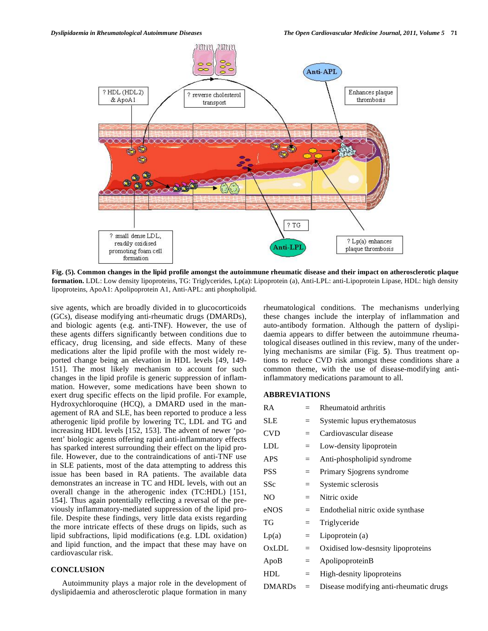

**Fig. (5). Common changes in the lipid profile amongst the autoimmune rheumatic disease and their impact on atherosclerotic plaque formation.** LDL: Low density lipoproteins, TG: Triglycerides, Lp(a): Lipoprotein (a), Anti-LPL: anti-Lipoprotein Lipase, HDL: high density lipoproteins, ApoA1: Apolipoprotein A1, Anti-APL: anti phospholipid.

sive agents, which are broadly divided in to glucocorticoids (GCs), disease modifying anti-rheumatic drugs (DMARDs), and biologic agents (e.g. anti-TNF). However, the use of these agents differs significantly between conditions due to efficacy, drug licensing, and side effects. Many of these medications alter the lipid profile with the most widely reported change being an elevation in HDL levels [49, 149- 151]. The most likely mechanism to account for such changes in the lipid profile is generic suppression of inflammation. However, some medications have been shown to exert drug specific effects on the lipid profile. For example, Hydroxychloroquine (HCQ), a DMARD used in the management of RA and SLE, has been reported to produce a less atherogenic lipid profile by lowering TC, LDL and TG and increasing HDL levels [152, 153]. The advent of newer 'potent' biologic agents offering rapid anti-inflammatory effects has sparked interest surrounding their effect on the lipid profile. However, due to the contraindications of anti-TNF use in SLE patients, most of the data attempting to address this issue has been based in RA patients. The available data demonstrates an increase in TC and HDL levels, with out an overall change in the atherogenic index (TC:HDL) [151, 154]. Thus again potentially reflecting a reversal of the previously inflammatory-mediated suppression of the lipid profile. Despite these findings, very little data exists regarding the more intricate effects of these drugs on lipids, such as lipid subfractions, lipid modifications (e.g. LDL oxidation) and lipid function, and the impact that these may have on cardiovascular risk.

#### **CONCLUSION**

 Autoimmunity plays a major role in the development of dyslipidaemia and atherosclerotic plaque formation in many rheumatological conditions. The mechanisms underlying these changes include the interplay of inflammation and auto-antibody formation. Although the pattern of dyslipidaemia appears to differ between the autoimmune rheumatological diseases outlined in this review, many of the underlying mechanisms are similar (Fig. **5**). Thus treatment options to reduce CVD risk amongst these conditions share a common theme, with the use of disease-modifying antiinflammatory medications paramount to all.

#### **ABBREVIATIONS**

| RA            |          | Rheumatoid arthritis                   |
|---------------|----------|----------------------------------------|
| SLE           | $=$      | Systemic lupus erythematosus           |
| CVD           | $=$      | Cardiovascular disease                 |
| LDL           | $=$      | Low-density lipoprotein                |
| APS           | $=$      | Anti-phospholipid syndrome             |
| PSS           | $=$      | Primary Sjogrens syndrome              |
| SSc           | $=$      | Systemic sclerosis                     |
| NO            | $=$      | Nitric oxide                           |
| eNOS          | $=$      | Endothelial nitric oxide synthase      |
| TG            | $=$      | Triglyceride                           |
| Lp(a)         | $=$      | Lipoprotein (a)                        |
| OxLDL         | $=$      | Oxidised low-desnsity lipoproteins     |
| ApoB          | $=$      | ApolipoproteinB                        |
| HDL           | $\equiv$ | High-desnity lipoproteins              |
| <b>DMARDs</b> | $=$      | Disease modifying anti-rheumatic drugs |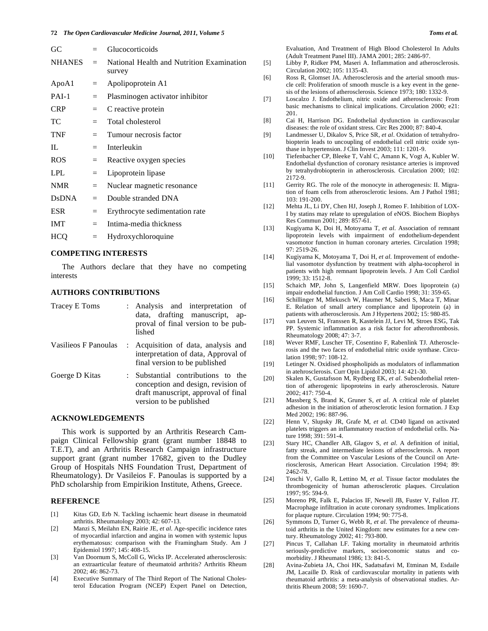| GC            |         | Glucocorticoids                                     |
|---------------|---------|-----------------------------------------------------|
| NHANES        | $=$     | National Health and Nutrition Examination<br>survey |
| ApoA1         | $=$     | Apolipoprotein A1                                   |
| $PAI-1$       | $=$     | Plasminogen activator inhibitor                     |
| <b>CRP</b>    | $=$     | C reactive protein                                  |
| TC            | $=$     | Total cholesterol                                   |
| <b>TNF</b>    | $=$     | Tumour necrosis factor                              |
| IL            | $=$     | Interleukin                                         |
| ROS.          | $=$     | Reactive oxygen species                             |
| <b>LPL</b>    | $=$     | Lipoprotein lipase                                  |
| <b>NMR</b>    | $=$     | Nuclear magnetic resonance                          |
| <b>D</b> sDNA | $=$ $-$ | Double stranded DNA                                 |
| <b>ESR</b>    | $=$     | Erythrocyte sedimentation rate                      |
| <b>IMT</b>    | $=$     | Intima-media thickness                              |
| <b>HCQ</b>    | $=$     | Hydroxychloroquine                                  |
|               |         |                                                     |

#### **COMPETING INTERESTS**

 The Authors declare that they have no competing interests

## **AUTHORS CONTRIBUTIONS**

| Tracey E Toms        | : Analysis and interpretation of<br>data, drafting manuscript,<br>ap-<br>proval of final version to be pub-<br>lished                      |
|----------------------|--------------------------------------------------------------------------------------------------------------------------------------------|
| Vasilieos F Panoulas | : Acquisition of data, analysis and<br>interpretation of data, Approval of<br>final version to be published                                |
| Goerge D Kitas       | : Substantial contributions to the<br>conception and design, revision of<br>draft manuscript, approval of final<br>version to be published |

#### **ACKNOWLEDGEMENTS**

 This work is supported by an Arthritis Research Campaign Clinical Fellowship grant (grant number 18848 to T.E.T), and an Arthritis Research Campaign infrastructure support grant (grant number 17682, given to the Dudley Group of Hospitals NHS Foundation Trust, Department of Rheumatology). Dr Vasileios F. Panoulas is supported by a PhD scholarship from Empirikion Institute, Athens, Greece.

#### **REFERENCE**

- [1] Kitas GD, Erb N. Tackling ischaemic heart disease in rheumatoid arthritis. Rheumatology 2003; 42: 607-13.
- [2] Manzi S, Meilahn EN, Rairie JE, *et al*. Age-specific incidence rates of myocardial infarction and angina in women with systemic lupus erythematosus: comparison with the Framingham Study. Am J Epidemiol 1997; 145: 408-15.
- [3] Van Doornum S, McColl G, Wicks IP. Accelerated atherosclerosis: an extraarticular feature of rheumatoid arthritis? Arthritis Rheum 2002; 46: 862-73.
- [4] Executive Summary of The Third Report of The National Cholesterol Education Program (NCEP) Expert Panel on Detection,

Evaluation, And Treatment of High Blood Cholesterol In Adults (Adult Treatment Panel III). JAMA 2001; 285: 2486-97.

- [5] Libby P, Ridker PM, Maseri A. Inflammation and atherosclerosis. Circulation 2002; 105: 1135-43.
- [6] Ross R, Glomset JA. Atherosclerosis and the arterial smooth muscle cell: Proliferation of smooth muscle is a key event in the genesis of the lesions of atherosclerosis. Science 1973; 180: 1332-9.
- [7] Loscalzo J. Endothelium, nitric oxide and atherosclerosis: From basic mechanisms to clinical implications. Circulation 2000; e21: 201.
- [8] Cai H, Harrison DG. Endothelial dysfunction in cardiovascular diseases: the role of oxidant stress. Circ Res 2000; 87: 840-4.
- [9] Landmesser U, Dikalov S, Price SR, *et al*. Oxidation of tetrahydrobiopterin leads to uncoupling of endothelial cell nitric oxide synthase in hypertension. J Clin Invest 2003; 111: 1201-9.
- [10] Tiefenbacher CP, Bleeke T, Vahl C, Amann K, Vogt A, Kubler W. Endothelial dysfunction of coronary resistance arteries is improved by tetrahydrobiopterin in atherosclerosis. Circulation 2000; 102: 2172-9.
- [11] Gerrity RG. The role of the monocyte in atherogenesis: II. Migration of foam cells from atherosclerotic lesions. Am J Pathol 1981; 103: 191-200.
- [12] Mehta JL, Li DY, Chen HJ, Joseph J, Romeo F. Inhibition of LOX-I by statins may relate to upregulation of eNOS. Biochem Biophys Res Commun 2001; 289: 857-61.
- [13] Kugiyama K, Doi H, Motoyama T, *et al*. Association of remnant lipoprotein levels with impairment of endothelium-dependent vasomotor function in human coronary arteries. Circulation 1998; 97: 2519-26.
- [14] Kugiyama K, Motoyama T, Doi H, *et al*. Improvement of endothelial vasomotor dysfunction by treatment with alpha-tocopherol in patients with high remnant lipoprotein levels. J Am Coll Cardiol 1999; 33: 1512-8.
- [15] Schaich MP, John S, Langenfield MRW. Does lipoprotein (a) impair endothelial function. J Am Coll Cardio 1998; 31: 359-65.
- [16] Schillinger M, Mlekusch W, Haumer M, Sabeti S, Maca T, Minar E. Relation of small artery compliance and lipoprotein (a) in patients with atherosclerosis. Am J Hypertens 2002; 15: 980-85.
- [17] van Leuven SI, Franssen R, Kastelein JJ, Levi M, Stroes ESG, Tak PP. Systemic inflammation as a risk factor for atherothrombosis. Rheumatology 2008; 47: 3-7.
- [18] Wever RMF, Luscher TF, Cosentino F, Rabenlink TJ. Atherosclerosis and the two faces of endothelial nitric oxide synthase. Circulation 1998; 97: 108-12.
- [19] Letinger N. Oxidised phospholipids as modulators of inflammation in atehrosclerosis. Curr Opin Lipidol 2003; 14: 421-30.
- [20] Skalen K, Gustafsson M, Rydberg EK, *et al*. Subendothelial retention of atherogenic lipoproteins in early atherosclerosis. Nature 2002; 417: 750-4.
- [21] Massberg S, Brand K, Gruner S, *et al*. A critical role of platelet adhesion in the initiation of atherosclerotic lesion formation. J Exp Med 2002; 196: 887-96.
- [22] Henn V, Slupsky JR, Grafe M, *et al*. CD40 ligand on activated platelets triggers an inflammatory reaction of endothelial cells. Nature 1998; 391: 591-4.
- [23] Stary HC, Chandler AB, Glagov S, *et al*. A definition of initial, fatty streak, and intermediate lesions of atherosclerosis. A report from the Committee on Vascular Lesions of the Council on Arteriosclerosis, American Heart Association. Circulation 1994; 89: 2462-78.
- [24] Toschi V, Gallo R, Lettino M, *et al*. Tissue factor modulates the thrombogenicity of human atherosclerotic plaques. Circulation 1997; 95: 594-9.
- [25] Moreno PR, Falk E, Palacios IF, Newell JB, Fuster V, Fallon JT. Macrophage infiltration in acute coronary syndromes. Implications for plaque rupture. Circulation 1994; 90: 775-8.
- [26] Symmons D, Turner G, Webb R, *et al*. The prevalence of rheumatoid arthritis in the United Kingdom: new estimates for a new century. Rheumatology 2002; 41: 793-800.
- [27] Pincus T, Callahan LF. Taking mortality in rheumatoid arthritis seriously-predictive markers, socioeconomic status and comorbidity. J Rheumatol 1986; 13: 841-5.
- [28] Avina-Zubieta JA, Choi HK, Sadatsafavi M, Etminan M, Esdaile JM, Lacaille D. Risk of cardiovascular mortality in patients with rheumatoid arthritis: a meta-analysis of observational studies. Arthritis Rheum 2008; 59: 1690-7.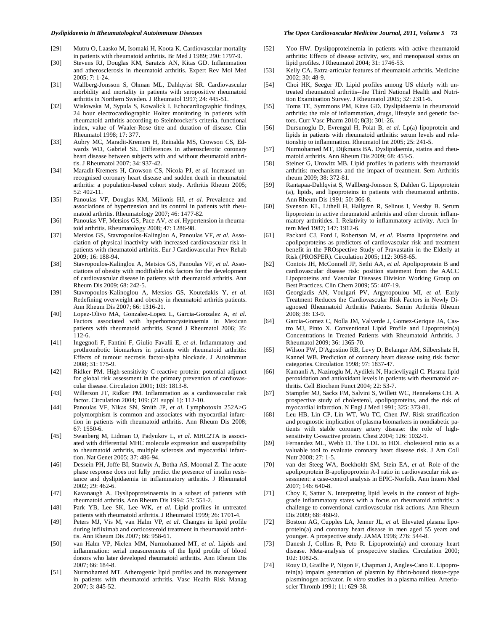- [29] Mutru O, Laasko M, Isomaki H, Koota K. Cardiovascular mortality in patients with rheumatoid arthritis. Br Med J 1989; 290: 1797-9.
- [30] Stevens RJ, Douglas KM, Saratzis AN, Kitas GD. Inflammation and atherosclerosis in rheumatoid arthritis. Expert Rev Mol Med 2005; 7: 1-24.
- [31] Wallberg-Jonsson S, Ohman ML, Dahlqvist SR. Cardiovascular morbidity and mortality in patients with seropositive rheumatoid arthritis in Northern Sweden. J Rheumatol 1997; 24: 445-51.
- [32] Wislowska M, Sypula S, Kowalick I. Echocardiographic findings, 24 hour electrocardiographic Holter monitoring in patients with rheumatoid arthritis according to Steinbrocker's criteria, functional index, value of Waaler-Rose titre and duration of disease. Clin Rheumatol 1998; 17: 377.
- [33] Aubry MC, Maradit-Kremers H, Reinalda MS, Crowson CS, Edwards WD, Gabriel SE. Differences in atherosclerotic coronary heart disease between subjects with and without rheumatoid arthritis. J Rheumatol 2007; 34: 937-42.
- [34] Maradit-Kremers H, Crowson CS, Nicola PJ, *et al.* Increased unrecognised coronary heart disease and sudden death in rheumatoid arthritis: a population-based cohort study. Arthritis Rheum 2005; 52: 402-11.
- [35] Panoulas VF, Douglas KM, Milionis HJ, *et al*. Prevalence and associations of hypertension and its control in patients with rheumatoid arthritis. Rheumatology 2007; 46: 1477-82.
- [36] Panoulas VF, Metsios GS, Pace AV, *et al*. Hypertension in rheumatoid arthritis. Rheumatology 2008; 47: 1286-98.
- [37] Metsios GS, Stavropoulos-Kalinglou A, Panoulas VF, *et al*. Association of physical inactivity with increased cardiovascular risk in patients with rheumatoid arthritis. Eur J Cardiovascular Prev Rehab 2009; 16: 188-94.
- [38] Stavropoulos-Kalinglou A, Metsios GS, Panoulas VF, *et al*. Associations of obesity with modifiable risk factors for the development of cardiovascular disease in patients with rheumatoid arthritis. Ann Rheum Dis 2009; 68: 242-5.
- [39] Stavropoulos-Kalinoglou A, Metsios GS, Koutedakis Y, *et al*. Redefining overweight and obesity in rheumatoid arthritis patients. Ann Rheum Dis 2007; 66: 1316-21.
- [40] Lopez-Olivo MA, Gonzalez-Lopez L, Garcia-Gonzalez A, *et al*. Factors associated with hyperhomocysteinaemia in Mexican patients with rheumatoid arthritis. Scand J Rheumatol 2006; 35: 112-6.
- [41] Ingegnoli F, Fantini F, Giulio Favalli E, *et al*. Inflammatory and prothrombotic biomarkers in patients with rheumatoid arthritis: Effects of tumour necrosis factor-alpha blockade. J Autoimmun 2008; 31: 175-9.
- [42] Ridker PM. High-sensitivity C-reactive protein: potential adjunct for global risk assessment in the primary prevention of cardiovascular disease. Circulation 2001; 103: 1813-8.
- [43] Willerson JT, Ridker PM. Inflammation as a cardiovascular risk factor. Circulation 2004; 109: (21 suppl 1): 112-10.
- [44] Panoulas VF, Nikas SN, Smith JP, *et al*. Lymphotoxin 252A>G polymorphism is common and associates with myocardial infarction in patients with rheumatoid arthritis. Ann Rheum Dis 2008; 67: 1550-6.
- [45] Swanberg M, Lidman O, Padyukov L, *et al*. MHC2TA is associated with differential MHC molecule expression and suscepatbility to rheumatoid arthritis, multiple sclerosis and myocardial infarction. Nat Genet 2005; 37: 486-94.
- [46] Dessein PH, Joffe BI, Stanwix A, Botha AS, Moomal Z. The acute phase response does not fully predict the presence of insulin resistance and dyslipidaemia in inflammatory arthritis. J Rheumatol 2002; 29: 462-6.
- [47] Kavanaugh A. Dyslipoproteinaemia in a subset of patients with rheumatoid arthritis. Ann Rheum Dis 1994; 53: 551-2.
- [48] Park YB, Lee SK, Lee WK, *et al*. Lipid profiles in untreated patients with rheumatoid arthritis. J Rheumatol 1999; 26: 1701-4.
- [49] Peters MJ, Vis M, van Halm VP, *et al*. Changes in lipid profile during infliximab and corticosteroid treatment in rheumatoid arthritis. Ann Rheum Dis 2007; 66: 958-61.
- [50] van Halm VP, Nielen MM, Nurmohamed MT, *et al*. Lipids and inflammation: serial measurements of the lipid profile of blood donors who later developed rheumatoid arthritis. Ann Rheum Dis 2007; 66: 184-8.
- [51] Nurmohamed MT. Atherogenic lipid profiles and its management in patients with rheumatoid arthritis. Vasc Health Risk Manag 2007; 3: 845-52.
- [52] Yoo HW. Dyslipoproteinemia in patients with active rheumatoid arthritis: Effects of disease activity, sex, and menopausal status on lipid profiles. J Rheumatol 2004; 31: 1746-53.
- [53] Kelly CA. Extra-articular features of rheumatoid arthritis. Medicine 2002; 30: 48-9.
- [54] Choi HK, Seeger JD. Lipid profiles among US elderly with untreated rheumatoid arthritis--the Third National Health and Nutrition Examination Survey. J Rheumatol 2005; 32: 2311-6.
- [55] Toms TE, Symmons PM, Kitas GD. Dyslipidaemia in rheumatoid arthritis: the role of inflammation, drugs, lifestyle and genetic factors. Curr Vasc Pharm 2010; 8(3): 301-26.
- [56] Dursunoglu D, Evrengul H, Polat B, *et al*. Lp(a) lipoprotein and lipids in patients with rheumatoid arthritis: serum levels and relationship to inflammation. Rheumatol Int 2005; 25: 241-5.
- [57] Nurmohamed MT, Dijkmans BA. Dyslipidaemia, statins and rheumatoid arthritis. Ann Rheum Dis 2009; 68: 453-5.
- [58] Steiner G, Urowitz MB. Lipid profiles in patients with rheumatoid arthritis: mechanisms and the impact of treatment. Sem Arthritis rheum 2009; 38: 372-81.
- [59] Rantapaa-Dahlqvist S, Wallberg-Jonsson S, Dahlen G. Lipoprotein (a), lipids, and lipoproteins in patients with rheumatoid arthritis. Ann Rheum Dis 1991; 50: 366-8.
- [60] Svenson KL, Lithell H, Hallgren R, Selinus I, Vessby B. Serum lipoprotein in active rheumatoid arthritis and other chronic inflammatory arthritides. I. Relativity to inflammatory activity. Arch Intern Med 1987; 147: 1912-6.
- [61] Packard CJ, Ford I, Robertson M, *et al*. Plasma lipoproteins and apolipoproteins as predictors of cardiovascular risk and treatment benefit in the PROspective Study of Pravastatin in the Elderly at Risk (PROSPER). Circulation 2005; 112: 3058-65.
- [62] Contois JH, McConnell JP, Sethi AA, *et al*. Apolipoprotein B and cardiovascular disease risk: position statement from the AACC Lipoproteins and Vascular Diseases Division Working Group on Best Practices. Clin Chem 2009; 55: 407-19.
- [63] Georgiadis AN, Voulgari PV, Argyropoulou MI, *et al*. Early Treatment Reduces the Cardiovascular Risk Factors in Newly Diagnosed Rheumatoid Arthritis Patients. Semin Arthritis Rheum  $2008: 38: 13-9.$
- [64] Garcia-Gomez C, Nolla JM, Valverde J, Gomez-Gerique JA, Castro MJ, Pinto X. Conventional Lipid Profile and Lipoprotein(a) Concentrations in Treated Patients with Rheumatoid Arthritis. J Rheumatol 2009; 36: 1365-70.
- [65] Wilson PW, D'Agostino RB, Levy D, Belanger AM, Silbershatz H, Kannel WB. Prediction of coronary heart disease using risk factor categories. Circulation 1998; 97: 1837-47.
- [66] Kamanli A, Naziroglu M, Aydilek N, Hacievliyagil C. Plasma lipid peroxidation and antioxidant levels in patients with rheumatoid arthritis. Cell Biochem Funct 2004; 22: 53-7.
- [67] Stampfer MJ, Sacks FM, Salvini S, Willett WC, Hennekens CH. A prospective study of cholesterol, apolipoproteins, and the risk of myocardial infarction. N Engl J Med 1991; 325: 373-81.
- [68] Leu HB, Lin CP, Lin WT, Wu TC, Chen JW. Risk stratification and prognostic implication of plasma biomarkers in nondiabetic patients with stable coronary artery disease: the role of highsensitivity C-reactive protein. Chest 2004; 126: 1032-9.
- [69] Fernandez ML, Webb D. The LDL to HDL cholesterol ratio as a valuable tool to evaluate coronary heart disease risk. J Am Coll Nutr 2008; 27: 1-5.
- [70] van der Steeg WA, Boekholdt SM, Stein EA, *et al*. Role of the apolipoprotein B-apolipoprotein A-I ratio in cardiovascular risk assessment: a case-control analysis in EPIC-Norfolk. Ann Intern Med 2007; 146: 640-8.
- [71] Choy E, Sattar N. Interpreting lipid levels in the context of highgrade inflammatory states with a focus on rheumatoid arthritis: a challenge to conventional cardiovascular risk actions. Ann Rheum Dis 2009; 68: 460-9.
- [72] Bostom AG, Cupples LA, Jenner JL, *et al.* Elevated plasma lipoprotein(a) and coronary heart disease in men aged 55 years and younger. A prospective study. JAMA 1996; 276: 544-8.
- [73] Danesh J, Collins R, Peto R. Lipoprotein(a) and coronary heart disease. Meta-analysis of prospective studies. Circulation 2000; 102: 1082-5.
- [74] Rouy D, Grailhe P, Nigon F, Chapman J, Angles-Cano E. Lipoprotein(a) impairs generation of plasmin by fibrin-bound tissue-type plasminogen activator. *In vitro* studies in a plasma milieu. Arterioscler Thromb 1991; 11: 629-38.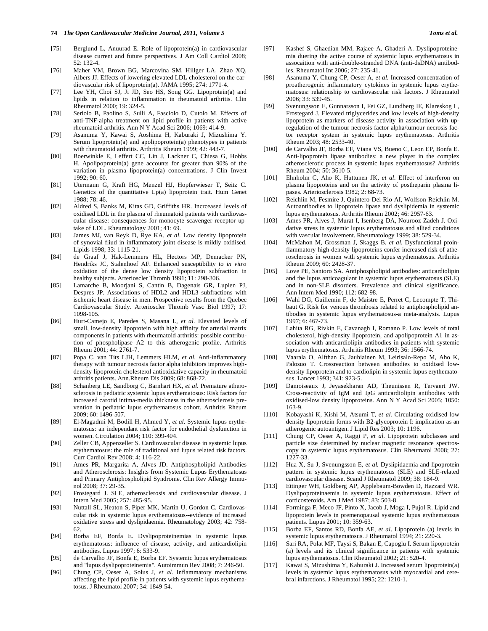- [76] Maher VM, Brown BG, Marcovina SM, Hillger LA, Zhao XQ, Albers JJ. Effects of lowering elevated LDL cholesterol on the cardiovascular risk of lipoprotein(a). JAMA 1995; 274: 1771-4.
- [77] Lee YH, Choi SJ, Ji JD, Seo HS, Song GG. Lipoprotein(a) and lipids in relation to inflammation in rheumatoid arthritis. Clin Rheumatol 2000; 19: 324-5.
- [78] Seriolo B, Paolino S, Sulli A, Fasciolo D, Cutolo M. Effects of anti-TNF-alpha treatment on lipid profile in patients with active rheumatoid arthritis. Ann N Y Acad Sci 2006; 1069: 414-9.
- [79] Asanuma Y, Kawai S, Aoshima H, Kaburaki J, Mizushima Y. Serum lipoprotein(a) and apolipoprotein(a) phenotypes in patients with rheumatoid arthritis. Arthritis Rheum 1999; 42: 443-7.
- [80] Boerwinkle E, Leffert CC, Lin J, Lackner C, Chiesa G, Hobbs H. Apolipoprotein(a) gene accounts for greater than 90% of the variation in plasma lipoprotein(a) concentrations. J Clin Invest 1992; 90: 60.
- [81] Utermann G, Kraft HG, Menzel HJ, Hopferwieser T, Seitz C. Genetics of the quantitative Lp(a) lipoprotein trait. Hum Genet 1988; 78: 46.
- [82] Aldred S, Banks M, Kitas GD, Griffiths HR. Incrceased levels of oxidised LDL in the plasma of rheumatoid patients with cardiovascular disease: consequences for monocyte scavenger receptor uptake of LDL. Rheumatology 2001; 41: 69.
- [83] James MJ, van Reyk D, Rye KA, *et al*. Low density lipoprotein of synovial fliud in inflammatory joint disease is mildly oxidised. Lipids 1998; 33: 1115-21.
- [84] de Graaf J, Hak-Lemmers HL, Hectors MP, Demacker PN, Hendriks JC, Stalenhoef AF. Enhanced susceptibility to *in vitro* oxidation of the dense low density lipoprotein subfraction in healthy subjects. Arterioscler Thromb 1991; 11: 298-306.
- [85] Lamarche B, Moorjani S, Cantin B, Dagenais GR, Lupien PJ, Despres JP. Associations of HDL2 and HDL3 subfractions with ischemic heart disease in men. Prospective results from the Quebec Cardiovascular Study. Arterioscler Thromb Vasc Biol 1997; 17: 1098-105.
- [86] Hurt-Camejo E, Paredes S, Masana L, *et al*. Elevated levels of small, low-density lipoprotein with high affinity for arterial matrix components in patients with rheumatoid arthritis: possible contribution of phospholipase A2 to this atherogenic profile. Arthritis Rheum 2001; 44: 2761-7.
- [87] Popa C, van Tits LJH, Lemmers HLM, *et al*. Anti-inflammatory therapy with tumour necrosis factor alpha inhibitors improves highdensity lipoprotein cholesterol antioxidative capacity in rheumatoid arthritis patients. Ann.Rheum Dis 2009; 68: 868-72.
- [88] Schanberg LE, Sandborg C, Barnhart HX, *et al*. Premature atherosclerosis in pediatric systemic lupus erythematosus: Risk factors for increased carotid intima-media thickness in the atherosclerosis prevention in pediatric lupus erythematosus cohort. Arthritis Rheum 2009; 60: 1496-507.
- [89] El-Magadmi M, Bodill H, Ahmed Y, *et al*. Systemic lupus erythematosus: an independant risk factor for endothelial dysfunction in women. Circulation 2004; 110: 399-404.
- [90] Zeller CB, Appenzeller S. Cardiovascular disease in systemic lupus erythematosus: the role of traditional and lupus related risk factors. Curr Cardiol Rev 2008; 4: 116-22.
- [91] Ames PR, Margarita A, Alves JD. Antiphospholipid Antibodies and Atherosclerosis: Insights from Systemic Lupus Erythematosus and Primary Antiphospholipid Syndrome. Clin Rev Allergy Immunol 2008; 37: 29-35.
- [92] Frostegard J. SLE, atherosclerosis and cardiovascular disease. J Intern Med 2005; 257: 485-95.
- [93] Nuttall SL, Heaton S, Piper MK, Martin U, Gordon C. Cardiovascular risk in systemic lupus erythematosus--evidence of increased oxidative stress and dyslipidaemia. Rheumatology 2003; 42: 758- 62.
- [94] Borba EF, Bonfa E. Dyslipoproteinemias in systemic lupus erythematosus: influence of disease, activity, and anticardiolipin antibodies. Lupus 1997; 6: 533-9.
- [95] de Carvalho JF, Bonfa E, Borba EF. Systemic lupus erythematosus and "lupus dyslipoproteinemia". Autoimmun Rev 2008; 7: 246-50.
- [96] Chung CP, Oeser A, Solus J, *et al*. Inflammatory mechanisms affecting the lipid profile in patients with systemic lupus erythematosus. J Rheumatol 2007; 34: 1849-54.
- [97] Kashef S, Ghaedian MM, Rajaee A, Ghaderi A. Dyslipoproteinemia duering the active course of systemic lupus erythematosus in assocaition with anti-double-stranded DNA (anti-dsDNA) antibodies. Rheumatol Int 2006; 27: 235-41.
- [98] Asanuma Y, Chung CP, Oeser A, *et al*. Increased concentration of proatherogenic inflammatory cytokines in systemic lupus erythematosus: relationship to cardiovascular risk factors. J Rheumatol 2006; 33: 539-45.
- [99] Svenungsson E, Gunnarsson I, Fei GZ, Lundberg IE, Klareskog L, Frostegard J. Elevated triglycerides and low levels of high-density lipoprotein as markers of disease activity in association with upregulation of the tumour necrosis factor alpha/tumour necrosis factor receptor system in systemic lupus erythematosus. Arthritis Rheum 2003; 48: 2533-40.
- [100] de Carvalho JF, Borba EF, Viana VS, Bueno C, Leon EP, Bonfa E. Anti-lipoprotein lipase antibodies: a new player in the complex atherosclerotic process in systemic lupus erythematosus? Arthritis Rheum 2004; 50: 3610-5.
- [101] Ehnholm C, Aho K, Huttunen JK, *et al*. Effect of interferon on plasma lipoproteins and on the activity of postheparin plasma lipases. Arteriosclerosis 1982; 2: 68-73.
- [102] Reichlin M, Fesmire J, Quintero-Del-Rio AI, Wolfson-Reichlin M. Autoantibodies to lipoprotein lipase and dyslipidemia in systemic lupus erythematosus. Arthritis Rheum 2002; 46: 2957-63.
- [103] Ames PR, Alves J, Murat I, Isenberg DA, Nourooz-Zadeh J. Oxidative stress in systemic lupus erythematosus and allied conditions with vascular involvement. Rheumatology 1999; 38: 529-34.
- [104] McMahon M, Grossman J, Skaggs B, *et al*. Dysfunctional proinflammatory high-density lipoproteins confer increased risk of atherosclerosis in women with systemic lupus erythematosus. Arthritis Rheum 2009; 60: 2428-37.
- [105] Love PE, Santoro SA. Antiphospholipid antibodies: anticardiolipin and the lupus anticoagulant in systemic lupus erythematosus (SLE) and in non-SLE disorders. Prevalence and clinical significance. Ann Intern Med 1990; 112: 682-98.
- [106] Wahl DG, Guillemin F, de Maistre E, Perret C, Lecompte T, Thibaut G. Risk for venous thrombosis related to antiphospholipid antibodies in systemic lupus erythematosus-a meta-analysis. Lupus 1997; 6: 467-73.
- [107] Lahita RG, Rivkin E, Cavanagh I, Romano P. Low levels of total cholesterol, high-density lipoprotein, and apolipoprotein A1 in association with anticardiolipin antibodies in patients with systemic lupus erythematosus. Arthritis Rheum 1993; 36: 1566-74.
- [108] Vaarala O, Alfthan G, Jauhiainen M, Leirisalo-Repo M, Aho K, Palosuo T. Crossreaction between antibodies to oxidised lowdensity lipoprotein and to cardiolipin in systemic lupus erythematosus. Lancet 1993; 341: 923-5.
- [109] Damoiseaux J, Jeyasekharan AD, Theunissen R, Tervaert JW. Cross-reactivity of IgM and IgG anticardiolipin antibodies with oxidised-low density lipoproteins. Ann N Y Acad Sci 2005; 1050: 163-9.
- [110] Kobayashi K, Kishi M, Atsumi T, *et al.* Circulating oxidised low density lipoprotein forms with B2-glycoprotein I: implication as an atherogenic autoantigen. J Lipid Res 2003; 10: 1196.
- [111] Chung CP, Oeser A, Raggi P, *et al*. Lipoprotein subclasses and particle size determined by nuclear magnetic resonance spectroscopy in systemic lupus erythematosus. Clin Rheumatol 2008; 27: 1227-33.
- [112] Hua X, Su J, Svenungsson E, *et al.* Dyslipidaemia and lipoprotein pattern in systemic lupus erythematosus (SLE) and SLE-related cardiovascular disease. Scand J Rheumatol 2009; 38: 184-9.
- [113] Ettinger WH, Goldberg AP, Applebaum-Bowden D, Hazzard WR. Dyslipoproteinaemia in systemic lupus erythematosus. Effect of corticosteroids. Am J Med 1987; 83: 503-8.
- [114] Forminga F, Meco JF, Pinto X, Jacob J, Moga I, Pujol R. Lipid and lipoprotein levels in premenopausal systemic lupus erythematosus patients. Lupus 2001; 10: 359-63.
- [115] Borba EF, Santos RD, Bonfa AE, *et al*. Lipoprotein (a) levels in systemic lupus erythematosus. J Rheumatol 1994; 21: 220-3.
- [116] Sari RA, Polat MF, Taysi S, Bakan E, Capoglu I. Serum lipoprotein (a) levels and its clinical significance in patients with systemic lupus erythematosus. Clin Rheumatol 2002; 21: 520-4.
- [117] Kawai S, Mizushima Y, Kaburaki J. Increased serum lipoprotein(a) levels in systemic lupus erythematosus with myocardial and cerebral infarctions. J Rheumatol 1995; 22: 1210-1.